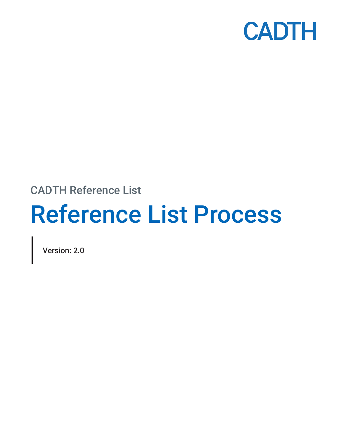

## CADTH Reference List

# Reference List Process

Version: 2.0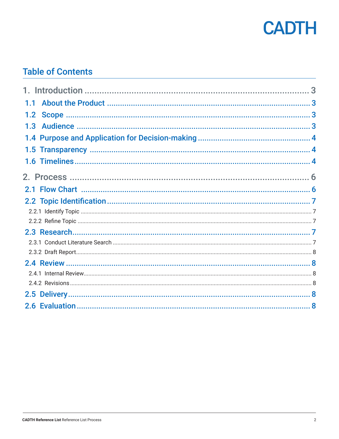

## **Table of Contents**

| 1.1              |  |
|------------------|--|
|                  |  |
| 1.3 <sub>l</sub> |  |
|                  |  |
|                  |  |
|                  |  |
|                  |  |
|                  |  |
|                  |  |
|                  |  |
|                  |  |
|                  |  |
|                  |  |
|                  |  |
|                  |  |
|                  |  |
|                  |  |
|                  |  |
|                  |  |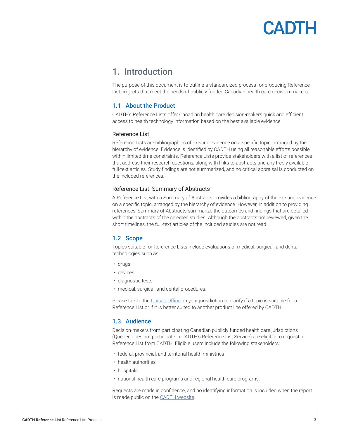## CADIH

### <span id="page-2-0"></span>1. Introduction

The purpose of this document is to outline a standardized process for producing Reference List projects that meet the needs of publicly funded Canadian health care decision-makers.

#### 1.1 About the Product

CADTH's Reference Lists offer Canadian health care decision-makers quick and efficient access to health technology information based on the best available evidence.

#### Reference List

Reference Lists are bibliographies of existing evidence on a specific topic, arranged by the hierarchy of evidence. Evidence is identified by CADTH using all reasonable efforts possible within limited time constraints. Reference Lists provide stakeholders with a list of references that address their research questions, along with links to abstracts and any freely available full-text articles. Study findings are not summarized, and no critical appraisal is conducted on the included references.

#### Reference List: Summary of Abstracts

A Reference List with a Summary of Abstracts provides a bibliography of the existing evidence on a specific topic, arranged by the hierarchy of evidence. However, in addition to providing references, Summary of Abstracts summarize the outcomes and findings that are detailed within the abstracts of the selected studies. Although the abstracts are reviewed, given the short timelines, the full-text articles of the included studies are not read.

#### 1.2 Scope

Topics suitable for Reference Lists include evaluations of medical, surgical, and dental technologies such as:

- drugs
- devices
- diagnostic tests
- medical, surgical, and dental procedures.

Please talk to the [Liaison Office](https://www.cadth.ca/implementation-support-and-liaison-officers)r in your jurisdiction to clarify if a topic is suitable for a Reference List or if it is better suited to another product line offered by CADTH.

#### 1.3 Audience

Decision-makers from participating Canadian publicly funded health care jurisdictions (Quebec does not participate in CADTH's Reference List Service) are eligible to request a Reference List from CADTH. Eligible users include the following stakeholders:

- federal, provincial, and territorial health ministries
- health authorities
- hospitals
- national health care programs and regional health care programs.

Requests are made in confidence, and no identifying information is included when the report is made public on the **CADTH** website.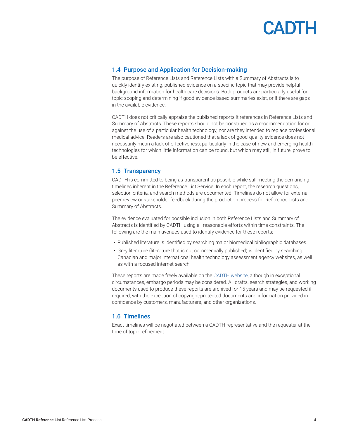

#### <span id="page-3-0"></span>1.4 Purpose and Application for Decision-making

The purpose of Reference Lists and Reference Lists with a Summary of Abstracts is to quickly identify existing, published evidence on a specific topic that may provide helpful background information for health care decisions. Both products are particularly useful for topic-scoping and determining if good evidence-based summaries exist, or if there are gaps in the available evidence.

CADTH does not critically appraise the published reports it references in Reference Lists and Summary of Abstracts. These reports should not be construed as a recommendation for or against the use of a particular health technology, nor are they intended to replace professional medical advice. Readers are also cautioned that a lack of good-quality evidence does not necessarily mean a lack of effectiveness; particularly in the case of new and emerging health technologies for which little information can be found, but which may still, in future, prove to be effective.

#### 1.5 Transparency

CADTH is committed to being as transparent as possible while still meeting the demanding timelines inherent in the Reference List Service. In each report, the research questions, selection criteria, and search methods are documented. Timelines do not allow for external peer review or stakeholder feedback during the production process for Reference Lists and Summary of Abstracts.

The evidence evaluated for possible inclusion in both Reference Lists and Summary of Abstracts is identified by CADTH using all reasonable efforts within time constraints. The following are the main avenues used to identify evidence for these reports:

- Published literature is identified by searching major biomedical bibliographic databases.
- Grey literature (literature that is not commercially published) is identified by searching Canadian and major international health technology assessment agency websites, as well as with a focused internet search.

These reports are made freely available on the [CADTH website](http://www.cadth.ca), although in exceptional circumstances, embargo periods may be considered. All drafts, search strategies, and working documents used to produce these reports are archived for 15 years and may be requested if required, with the exception of copyright-protected documents and information provided in confidence by customers, manufacturers, and other organizations.

#### 1.6 Timelines

Exact timelines will be negotiated between a CADTH representative and the requester at the time of topic refinement.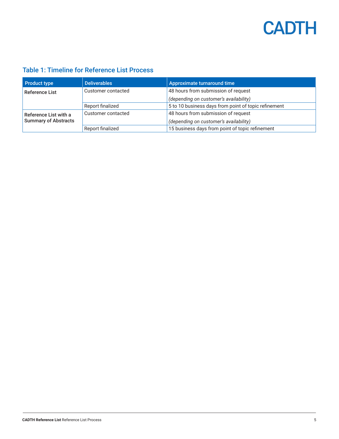## **CADTH**

### Table 1: Timeline for Reference List Process

| <b>Product type</b>         | <b>Deliverables</b> | Approximate turnaround time                          |  |
|-----------------------------|---------------------|------------------------------------------------------|--|
| <b>Reference List</b>       | Customer contacted  | 48 hours from submission of request                  |  |
|                             |                     | (depending on customer's availability)               |  |
|                             | Report finalized    | 5 to 10 business days from point of topic refinement |  |
| Reference List with a       | Customer contacted  | 48 hours from submission of request                  |  |
| <b>Summary of Abstracts</b> |                     | (depending on customer's availability)               |  |
|                             | Report finalized    | 15 business days from point of topic refinement      |  |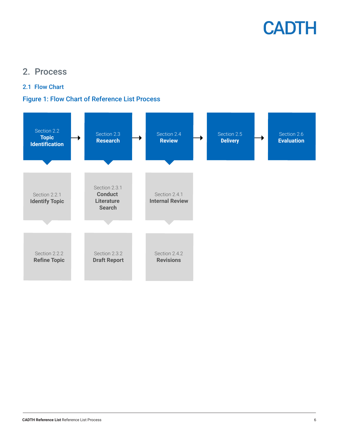

### <span id="page-5-0"></span>2. Process

#### 2.1 Flow Chart

#### Figure 1: Flow Chart of Reference List Process

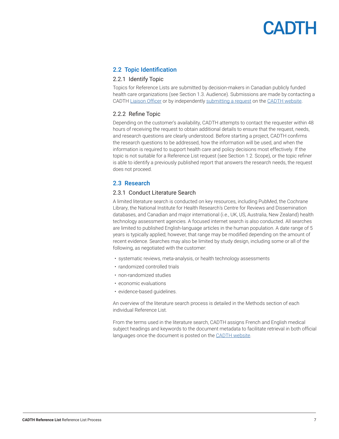## CADTH

#### <span id="page-6-0"></span>2.2 Topic Identification

#### 2.2.1 Identify Topic

Topics for Reference Lists are submitted by decision-makers in Canadian publicly funded health care organizations (see Section 1.3. Audience). Submissions are made by contacting a CADTH [Liaison Officer](https://www.cadth.ca/implementation-support-and-liaison-officers) or by independently [submitting a request](https://www.cadth.ca/submit-request) on the [CADTH website.](https://www.cadth.ca/)

#### 2.2.2 Refine Topic

Depending on the customer's availability, CADTH attempts to contact the requester within 48 hours of receiving the request to obtain additional details to ensure that the request, needs, and research questions are clearly understood. Before starting a project, CADTH confirms the research questions to be addressed, how the information will be used, and when the information is required to support health care and policy decisions most effectively. If the topic is not suitable for a Reference List request (see Section 1.2. Scope), or the topic refiner is able to identify a previously published report that answers the research needs, the request does not proceed.

#### 2.3 Research

#### 2.3.1 Conduct Literature Search

A limited literature search is conducted on key resources, including PubMed, the Cochrane Library, the National Institute for Health Research's Centre for Reviews and Dissemination databases, and Canadian and major international (i.e., UK, US, Australia, New Zealand) health technology assessment agencies. A focused internet search is also conducted. All searches are limited to published English-language articles in the human population. A date range of 5 years is typically applied; however, that range may be modified depending on the amount of recent evidence. Searches may also be limited by study design, including some or all of the following, as negotiated with the customer:

- systematic reviews, meta-analysis, or health technology assessments
- randomized controlled trials
- non-randomized studies
- economic evaluations
- evidence-based guidelines.

An overview of the literature search process is detailed in the Methods section of each individual Reference List.

From the terms used in the literature search, CADTH assigns French and English medical subject headings and keywords to the document metadata to facilitate retrieval in both official languages once the document is posted on the [CADTH website](http://www.cadth.ca).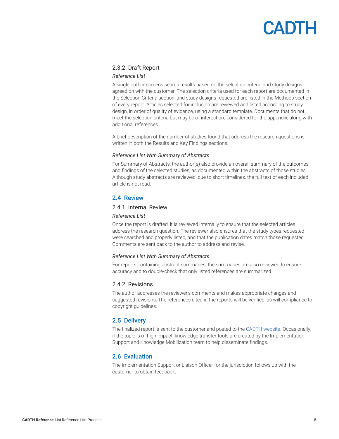## **CADTH**

#### <span id="page-7-0"></span>2.3.2 Draft Report

#### *Reference List*

A single author screens search results based on the selection criteria and study designs agreed on with the customer. The selection criteria used for each report are documented in the Selection Criteria section, and study designs requested are listed in the Methods section of every report. Articles selected for inclusion are reviewed and listed according to study design, in order of quality of evidence, using a standard template. Documents that do not meet the selection criteria but may be of interest are considered for the appendix, along with additional references.

A brief description of the number of studies found that address the research questions is written in both the Results and Key Findings sections.

#### *Reference List With Summary of Abstracts*

For Summary of Abstracts, the author(s) also provide an overall summary of the outcomes and findings of the selected studies, as documented within the abstracts of those studies. Although study abstracts are reviewed, due to short timelines, the full text of each included article is not read.

#### 2.4 Review

#### 2.4.1 Internal Review

#### *Reference List*

Once the report is drafted, it is reviewed internally to ensure that the selected articles address the research question. The reviewer also ensures that the study types requested were searched and properly listed, and that the publication dates match those requested. Comments are sent back to the author to address and revise.

#### *Reference List With Summary of Abstracts*

For reports containing abstract summaries, the summaries are also reviewed to ensure accuracy and to double-check that only listed references are summarized.

#### 2.4.2 Revisions

The author addresses the reviewer's comments and makes appropriate changes and suggested revisions. The references cited in the reports will be verified, as will compliance to copyright guidelines.

#### 2.5 Delivery

The finalized report is sent to the customer and posted to the [CADTH website](http://www.cadth.ca). Occasionally, if the topic is of high impact, knowledge transfer tools are created by the Implementation Support and Knowledge Mobilization team to help disseminate findings.

#### 2.6 Evaluation

The Implementation Support or Liaison Officer for the jurisdiction follows up with the customer to obtain feedback.